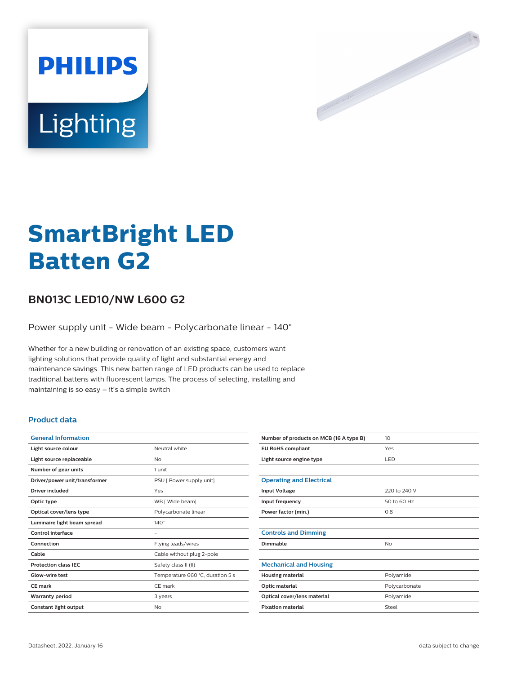



# **SmartBright LED Batten G2**

## **BN013C LED10/NW L600 G2**

Power supply unit - Wide beam - Polycarbonate linear - 140°

Whether for a new building or renovation of an existing space, customers want lighting solutions that provide quality of light and substantial energy and maintenance savings. This new batten range of LED products can be used to replace traditional battens with fluorescent lamps. The process of selecting, installing and maintaining is so easy – it's a simple switch

## **Product data**

| <b>General Information</b>    |                                  |
|-------------------------------|----------------------------------|
| Light source colour           | Neutral white                    |
| Light source replaceable      | No                               |
| Number of gear units          | 1 unit                           |
| Driver/power unit/transformer | PSU [ Power supply unit]         |
| Driver included               | Yes                              |
| Optic type                    | WB [ Wide beam]                  |
| Optical cover/lens type       | Polycarbonate linear             |
| Luminaire light beam spread   | $140^\circ$                      |
| Control interface             | -                                |
| Connection                    | Flying leads/wires               |
| Cable                         | Cable without plug 2-pole        |
| <b>Protection class IEC</b>   | Safety class II (II)             |
| Glow-wire test                | Temperature 660 °C, duration 5 s |
| <b>CE</b> mark                | CE mark                          |
| <b>Warranty period</b>        | 3 years                          |
| Constant light output         | No                               |

| Number of products on MCB (16 A type B) | 10 <sup>2</sup> |
|-----------------------------------------|-----------------|
| <b>EU RoHS compliant</b>                | Yes             |
| Light source engine type                | LED             |
|                                         |                 |
| <b>Operating and Electrical</b>         |                 |
| <b>Input Voltage</b>                    | 220 to 240 V    |
| Input frequency                         | 50 to 60 Hz     |
| Power factor (min.)                     | 0.8             |
|                                         |                 |
| <b>Controls and Dimming</b>             |                 |
| Dimmable                                | No              |
|                                         |                 |
| <b>Mechanical and Housing</b>           |                 |
| <b>Housing material</b>                 | Polyamide       |
| Optic material                          | Polycarbonate   |
| Optical cover/lens material             | Polyamide       |
| <b>Fixation material</b>                | Steel           |
|                                         |                 |